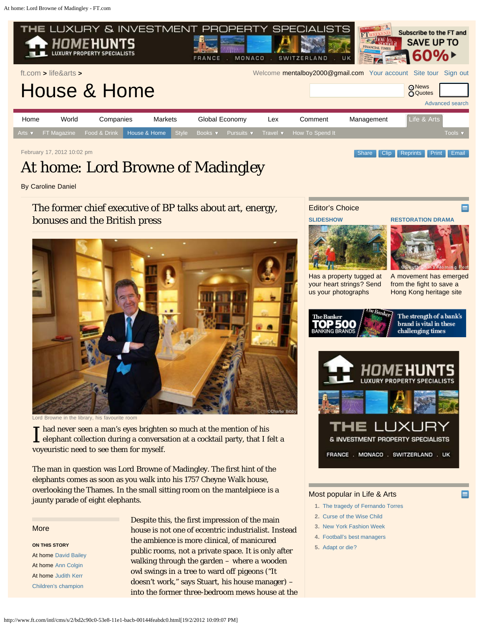<span id="page-0-0"></span>

February 17, 2012 10:02 pm [Clip](http://clippings.ft.com/clipthis/?url=http%3A%2F%2Fwww.ft.com%2Fcms%2Fs%2F2%2Fbd2c90c0-53e8-11e1-bacb-00144feabdc0.html&title=At+home%3A+Lord+Browne+of+Madingley¬e=The+former+chief+executive+of+BP+talks+about+art%2C+energy%2C+bonuses+and+the+British+press&datepublished=2012-02-17+22%3A2%3A14&images=http%3A%2F%2Fim.media.ft.com%2Fcontent%2Fimages%2Fb482012e-584a-11e1-bf61-00144feabdc0.img%2C) Clip [Reprints](http://storytools.ft.com/storyTools/reprintOrRepublish.html?uuid=bd2c90c0-53e8-11e1-bacb-00144feabdc0) [Print](#page-0-0) [Email](#page-0-0)

# At home: Lord Browne of Madingley

By Caroline Daniel

The former chief executive of BP talks about art, energy, bonuses and the British press



Lord Browne in the library, his favourite room

I had never seen a man's eyes brighten so much at the mention of his<br>elephant collection during a conversation at a cocktail party, that I felt a Thad never seen a man's eyes brighten so much at the mention of his voyeuristic need to see them for myself.

The man in question was Lord Browne of Madingley. The first hint of the elephants comes as soon as you walk into his 1757 Cheyne Walk house, overlooking the Thames. In the small sitting room on the mantelpiece is a jaunty parade of eight elephants.

#### More

**ON THIS STORY** At home [David Bailey](http://www.ft.com/cms/s/2/f35a42a0-4d99-11e1-bb6c-00144feabdc0.html) At home [Ann Colgin](http://www.ft.com/cms/s/2/d8608f24-4824-11e1-a4e5-00144feabdc0.html) At home [Judith Kerr](http://www.ft.com/cms/s/2/c514a350-384e-11e1-9d07-00144feabdc0.html) [Children's champion](http://www.ft.com/cms/s/2/a5aadbee-226c-11e1-923d-00144feabdc0.html)

Despite this, the first impression of the main house is not one of eccentric industrialist. Instead the ambience is more clinical, of manicured public rooms, not a private space. It is only after walking through the garden – where a wooden owl swings in a tree to ward off pigeons ("It doesn't work," says Stuart, his house manager) – into the former three-bedroom mews house at the

# Editor's Choice





[Has a property tugged at](http://www.ft.com/intl/cms/s/45c57fca-53d3-11e1-9eac-00144feabdc0.html) [your heart strings? Send](http://www.ft.com/intl/cms/s/45c57fca-53d3-11e1-9eac-00144feabdc0.html) [us your photographs](http://www.ft.com/intl/cms/s/45c57fca-53d3-11e1-9eac-00144feabdc0.html)

### [A movement has emerged](http://www.ft.com/intl/cms/s/2/a95e785a-4778-11e1-9a92-00144feabdc0.html) [from the fight to save a](http://www.ft.com/intl/cms/s/2/a95e785a-4778-11e1-9a92-00144feabdc0.html) [Hong Kong heritage site](http://www.ft.com/intl/cms/s/2/a95e785a-4778-11e1-9a92-00144feabdc0.html)





#### Most popular in Life & Arts

- **1.** [The tragedy of Fernando Torres](http://www.ft.com/intl/cms/s/2/e7c80640-5788-11e1-869b-00144feabdc0.html#axzz1mV9tUq4o)
- **2.** [Curse of the Wise Child](http://www.ft.com/intl/cms/s/2/e6796984-5885-11e1-b9c6-00144feabdc0.html)
- **3.** [New York Fashion Week](http://www.ft.com/intl/cms/s/0/c238a202-5627-11e1-8dfa-00144feabdc0.html#axzz1mV9tUq4o)
- **4.** [Football's best managers](http://www.ft.com/intl/cms/s/2/f340caae-47cd-11e1-b646-00144feabdc0.html#axzz1mV9tUq4o)
- **5.** [Adapt or die?](http://www.ft.com/intl/cms/s/2/49c09ba8-5308-11e1-950d-00144feabdc0.html#axzz1mV9tUq4o)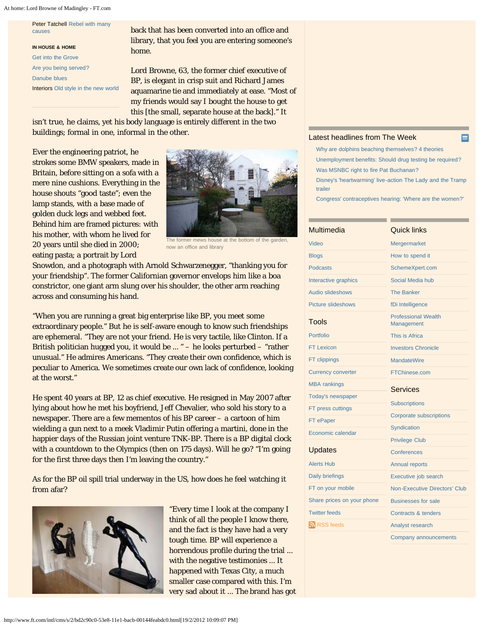At home: Lord Browne of Madingley - FT.com

Peter Tatchell [Rebel with many](http://www.ft.com/cms/s/2/b69feee2-1b70-11e1-8647-00144feabdc0.html) [causes](http://www.ft.com/cms/s/2/b69feee2-1b70-11e1-8647-00144feabdc0.html)

**IN HOUSE & HOME** [Get into the Grove](http://www.ft.com/cms/s/2/90b33c46-5317-11e1-950d-00144feabdc0.html) [Are you being served?](http://www.ft.com/cms/s/2/a6032cec-531b-11e1-950d-00144feabdc0.html) [Danube blues](http://www.ft.com/cms/s/2/542037b4-530a-11e1-950d-00144feabdc0.html) Interiors [Old style in the new world](http://www.ft.com/cms/s/2/701eaac6-5324-11e1-950d-00144feabdc0.html)

back that has been converted into an office and library, that you feel you are entering someone's home.

Lord Browne, 63, the former chief executive of BP, is elegant in crisp suit and Richard James aquamarine tie and immediately at ease. "Most of my friends would say I bought the house to get this [the small, separate house at the back]." It

isn't true, he claims, yet his body language is entirely different in the two buildings; formal in one, informal in the other.

Ever the engineering patriot, he strokes some BMW speakers, made in Britain, before sitting on a sofa with a mere nine cushions. Everything in the house shouts "good taste"; even the lamp stands, with a base made of golden duck legs and webbed feet. Behind him are framed pictures: with his mother, with whom he lived for 20 years until she died in 2000; eating pasta; a portrait by Lord



The former mews house at the bottom of the garden now an office and library

Snowdon, and a photograph with Arnold Schwarzenegger, "thanking you for your friendship". The former Californian governor envelops him like a boa constrictor, one giant arm slung over his shoulder, the other arm reaching across and consuming his hand.

"When you are running a great big enterprise like BP, you meet some extraordinary people." But he is self-aware enough to know such friendships are ephemeral. "They are not your friend. He is very tactile, like Clinton. If a British politician hugged you, it would be ... " – he looks perturbed – "rather unusual." He admires Americans. "They create their own confidence, which is peculiar to America. We sometimes create our own lack of confidence, looking at the worst."

He spent 40 years at BP, 12 as chief executive. He resigned in May 2007 after lying about how he met his boyfriend, Jeff Chevalier, who sold his story to a newspaper. There are a few mementos of his BP career – a cartoon of him wielding a gun next to a meek Vladimir Putin offering a martini, done in the happier days of the Russian joint venture TNK-BP. There is a BP digital clock with a countdown to the Olympics (then on 175 days). Will he go? "I'm going for the first three days then I'm leaving the country."

As for the BP oil spill trial underway in the US, how does he feel watching it from afar?



"Every time I look at the company I think of all the people I know there, and the fact is they have had a very tough time. BP will experience a horrendous profile during the trial ... with the negative testimonies ... It happened with Texas City, a much smaller case compared with this. I'm very sad about it ... The brand has got

#### [Latest headlines from The Week](http://theweek.com/)

- [Why are dolphins beaching themselves? 4 theories](http://theweek.com/article/index/224599/why-are-dolphins-beaching-themselves-4-theories) [Unemployment benefits: Should drug testing be required?](http://theweek.com/article/index/224615/unemployment-benefits-should-drug-testing-be-required) [Was MSNBC right to fire Pat Buchanan?](http://theweek.com/article/index/224614/was-msnbc-right-to-fire-pat-buchanan)
- [Disney's 'heartwarming' live-action The Lady and the Tramp](http://theweek.com/article/index/224611/disneys-heartwarming-live-action-the-lady-and-the-tramp-trailer) [trailer](http://theweek.com/article/index/224611/disneys-heartwarming-live-action-the-lady-and-the-tramp-trailer)

[Congress' contraceptives hearing: 'Where are the women?'](http://theweek.com/article/index/224609/congress-contraceptives-hearing-where-are-the-women)

| Multimedia                 | <b>Quick links</b>                       |  |
|----------------------------|------------------------------------------|--|
| Video                      | Mergermarket                             |  |
| <b>Blogs</b>               | How to spend it                          |  |
| <b>Podcasts</b>            | SchemeXpert.com                          |  |
| Interactive graphics       | Social Media hub                         |  |
| Audio slideshows           | <b>The Banker</b>                        |  |
| <b>Picture slideshows</b>  | fDi Intelligence                         |  |
| <b>Tools</b>               | <b>Professional Wealth</b><br>Management |  |
| Portfolio                  | This is Africa                           |  |
| <b>FT Lexicon</b>          | <b>Investors Chronicle</b>               |  |
| FT clippings               | <b>MandateWire</b>                       |  |
| <b>Currency converter</b>  | <b>FTChinese.com</b>                     |  |
| <b>MBA</b> rankings        | <b>Services</b>                          |  |
| Today's newspaper          |                                          |  |
| FT press cuttings          | <b>Subscriptions</b>                     |  |
| FT ePaper                  | <b>Corporate subscriptions</b>           |  |
| Economic calendar          | Syndication                              |  |
|                            | <b>Privilege Club</b>                    |  |
| <b>Updates</b>             | Conferences                              |  |
| <b>Alerts Hub</b>          | <b>Annual reports</b>                    |  |
| <b>Daily briefings</b>     | Executive job search                     |  |
| FT on your mobile          | <b>Non-Executive Directors' Club</b>     |  |
| Share prices on your phone | <b>Businesses for sale</b>               |  |
| <b>Twitter feeds</b>       | Contracts & tenders                      |  |
| RSS feeds                  | Analyst research                         |  |
|                            | Company announcements                    |  |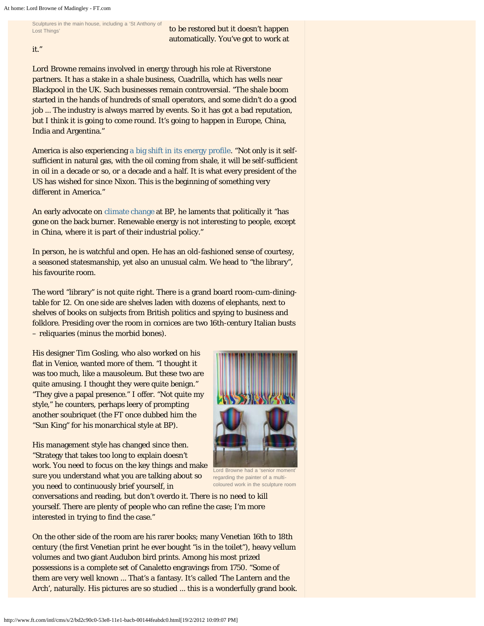Sculptures in the main house, including a 'St Anthony of Lost Things'

to be restored but it doesn't happen automatically. You've got to work at

it."

Lord Browne remains involved in energy through his role at Riverstone partners. It has a stake in a shale business, Cuadrilla, which has wells near Blackpool in the UK. Such businesses remain controversial. "The shale boom started in the hands of hundreds of small operators, and some didn't do a good job ... The industry is always marred by events. So it has got a bad reputation, but I think it is going to come round. It's going to happen in Europe, China, India and Argentina."

America is also experiencing [a big shift in its energy profile](http://www.ft.com/cms/s/0/067a0a38-ef39-11e0-918b-00144feab49a.html). "Not only is it selfsufficient in natural gas, with the oil coming from shale, it will be self-sufficient in oil in a decade or so, or a decade and a half. It is what every president of the US has wished for since Nixon. This is the beginning of something very different in America."

An early advocate on [climate change](http://www.ft.com/indepth/climatechange) at BP, he laments that politically it "has gone on the back burner. Renewable energy is not interesting to people, except in China, where it is part of their industrial policy."

In person, he is watchful and open. He has an old-fashioned sense of courtesy, a seasoned statesmanship, yet also an unusual calm. We head to "the library", his favourite room.

The word "library" is not quite right. There is a grand board room-cum-diningtable for 12. On one side are shelves laden with dozens of elephants, next to shelves of books on subjects from British politics and spying to business and folklore. Presiding over the room in cornices are two 16th-century Italian busts – reliquaries (minus the morbid bones).

His designer Tim Gosling, who also worked on his flat in Venice, wanted more of them. "I thought it was too much, like a mausoleum. But these two are quite amusing. I thought they were quite benign." "They give a papal presence." I offer. "Not quite my style," he counters, perhaps leery of prompting another soubriquet (the FT once dubbed him the "Sun King" for his monarchical style at BP).

His management style has changed since then. "Strategy that takes too long to explain doesn't work. You need to focus on the key things and make sure you understand what you are talking about so you need to continuously brief yourself, in



Lord Browne had a 'senior moment' regarding the painter of a multicoloured work in the sculpture room

conversations and reading, but don't overdo it. There is no need to kill yourself. There are plenty of people who can refine the case; I'm more interested in trying to find the case."

On the other side of the room are his rarer books; many Venetian 16th to 18th century (the first Venetian print he ever bought "is in the toilet"), heavy vellum volumes and two giant Audubon bird prints. Among his most prized possessions is a complete set of Canaletto engravings from 1750. "Some of them are very well known ... That's a fantasy. It's called 'The Lantern and the Arch', naturally. His pictures are so studied ... this is a wonderfully grand book.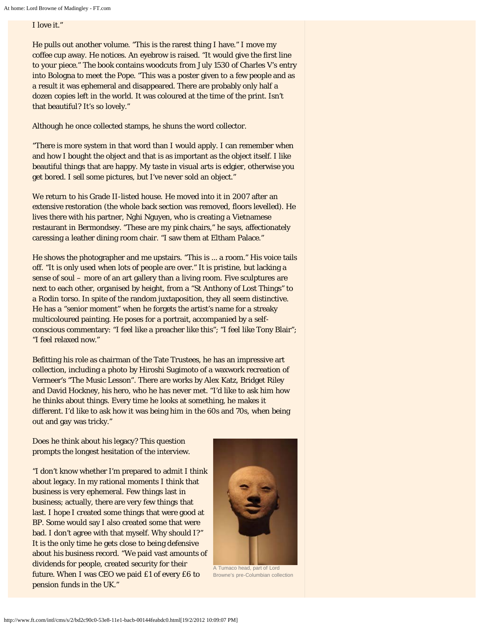## I love it."

He pulls out another volume. "This is the rarest thing I have." I move my coffee cup away. He notices. An eyebrow is raised. "It would give the first line to your piece." The book contains woodcuts from July 1530 of Charles V's entry into Bologna to meet the Pope. "This was a poster given to a few people and as a result it was ephemeral and disappeared. There are probably only half a dozen copies left in the world. It was coloured at the time of the print. Isn't that beautiful? It's so lovely."

Although he once collected stamps, he shuns the word collector.

"There is more system in that word than I would apply. I can remember when and how I bought the object and that is as important as the object itself. I like beautiful things that are happy. My taste in visual arts is edgier, otherwise you get bored. I sell some pictures, but I've never sold an object."

We return to his Grade II-listed house. He moved into it in 2007 after an extensive restoration (the whole back section was removed, floors levelled). He lives there with his partner, Nghi Nguyen, who is creating a Vietnamese restaurant in Bermondsey. "These are my pink chairs," he says, affectionately caressing a leather dining room chair. "I saw them at Eltham Palace."

He shows the photographer and me upstairs. "This is ... a room." His voice tails off. "It is only used when lots of people are over." It is pristine, but lacking a sense of soul – more of an art gallery than a living room. Five sculptures are next to each other, organised by height, from a "St Anthony of Lost Things" to a Rodin torso. In spite of the random juxtaposition, they all seem distinctive. He has a "senior moment" when he forgets the artist's name for a streaky multicoloured painting. He poses for a portrait, accompanied by a selfconscious commentary: "I feel like a preacher like this"; "I feel like Tony Blair"; "I feel relaxed now."

Befitting his role as chairman of the Tate Trustees, he has an impressive art collection, including a photo by Hiroshi Sugimoto of a waxwork recreation of Vermeer's "The Music Lesson". There are works by Alex Katz, Bridget Riley and David Hockney, his hero, who he has never met. "I'd like to ask him how he thinks about things. Every time he looks at something, he makes it different. I'd like to ask how it was being him in the 60s and 70s, when being out and gay was tricky."

Does he think about his legacy? This question prompts the longest hesitation of the interview.

"I don't know whether I'm prepared to admit I think about legacy. In my rational moments I think that business is very ephemeral. Few things last in business; actually, there are very few things that last. I hope I created some things that were good at BP. Some would say I also created some that were bad. I don't agree with that myself. Why should I?" It is the only time he gets close to being defensive about his business record. "We paid vast amounts of dividends for people, created security for their future. When I was CEO we paid £1 of every £6 to pension funds in the UK."



Browne's pre-Columbian collection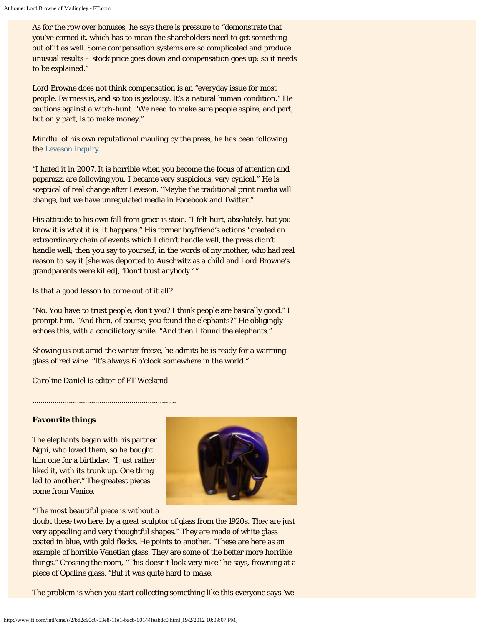As for the row over bonuses, he says there is pressure to "demonstrate that you've earned it, which has to mean the shareholders need to get something out of it as well. Some compensation systems are so complicated and produce unusual results – stock price goes down and compensation goes up; so it needs to be explained."

Lord Browne does not think compensation is an "everyday issue for most people. Fairness is, and so too is jealousy. It's a natural human condition." He cautions against a witch-hunt. "We need to make sure people aspire, and part, but only part, is to make money."

Mindful of his own reputational mauling by the press, he has been following the [Leveson inquiry](http://www.ft.com/in-depth/uk-phone-hacking-scandal).

"I hated it in 2007. It is horrible when you become the focus of attention and paparazzi are following you. I became very suspicious, very cynical." He is sceptical of real change after Leveson. "Maybe the traditional print media will change, but we have unregulated media in Facebook and Twitter."

His attitude to his own fall from grace is stoic. "I felt hurt, absolutely, but you know it is what it is. It happens." His former boyfriend's actions "created an extraordinary chain of events which I didn't handle well, the press didn't handle well; then you say to yourself, in the words of my mother, who had real reason to say it [she was deported to Auschwitz as a child and Lord Browne's grandparents were killed], 'Don't trust anybody.' "

Is that a good lesson to come out of it all?

"No. You have to trust people, don't you? I think people are basically good." I prompt him. "And then, of course, you found the elephants?" He obligingly echoes this, with a conciliatory smile. "And then I found the elephants."

Showing us out amid the winter freeze, he admits he is ready for a warming glass of red wine. "It's always 6 o'clock somewhere in the world."

*Caroline Daniel is editor of FT Weekend*

.......................................................................

#### **Favourite things**

The elephants began with his partner Nghi, who loved them, so he bought him one for a birthday. "I just rather liked it, with its trunk up. One thing led to another." The greatest pieces come from Venice.



"The most beautiful piece is without a

doubt these two here, by a great sculptor of glass from the 1920s. They are just very appealing and very thoughtful shapes." They are made of white glass coated in blue, with gold flecks. He points to another. "These are here as an example of horrible Venetian glass. They are some of the better more horrible things." Crossing the room, "This doesn't look very nice" he says, frowning at a piece of Opaline glass. "But it was quite hard to make.

The problem is when you start collecting something like this everyone says 'we